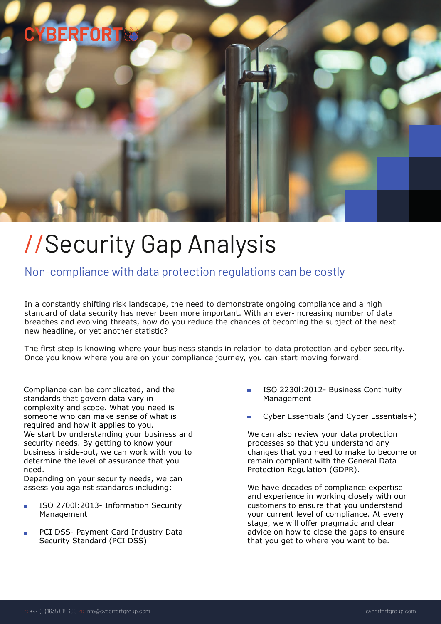## **CYBERFOR**

# //Security Gap Analysis

### Non-compliance with data protection regulations can be costly

In a constantly shifting risk landscape, the need to demonstrate ongoing compliance and a high standard of data security has never been more important. With an ever-increasing number of data breaches and evolving threats, how do you reduce the chances of becoming the subject of the next new headline, or yet another statistic?

The first step is knowing where your business stands in relation to data protection and cyber security. Once you know where you are on your compliance journey, you can start moving forward.

Compliance can be complicated, and the standards that govern data vary in complexity and scope. What you need is someone who can make sense of what is required and how it applies to you. We start by understanding your business and security needs. By getting to know your business inside-out, we can work with you to determine the level of assurance that you need.

Depending on your security needs, we can assess you against standards including:

- ISO 2700l:2013- Information Security Management
- PCI DSS- Payment Card Industry Data Security Standard (PCI DSS)
- ISO 2230l:2012- Business Continuity Management
- Cyber Essentials (and Cyber Essentials+)

We can also review your data protection processes so that you understand any changes that you need to make to become or remain compliant with the General Data Protection Regulation (GDPR).

We have decades of compliance expertise and experience in working closely with our customers to ensure that you understand your current level of compliance. At every stage, we will offer pragmatic and clear advice on how to close the gaps to ensure that you get to where you want to be.